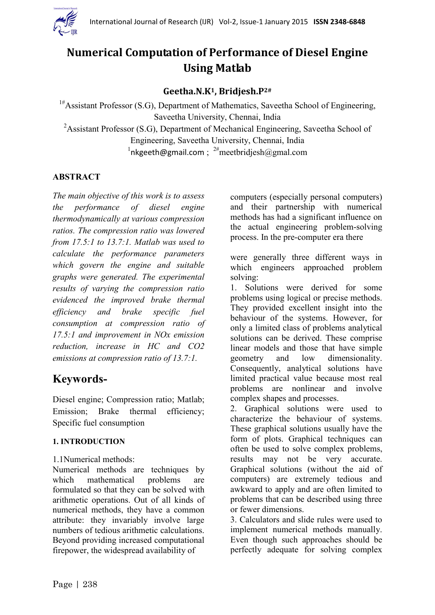

# **Numerical Computation of Performance of Diesel Engine Using Matlab**

## **Geetha.N.K1, Bridjesh.P2#**

<sup>1#</sup>Assistant Professor (S.G), Department of Mathematics, Saveetha School of Engineering, Saveetha University, Chennai, India

<sup>2</sup>Assistant Professor (S.G), Department of Mechanical Engineering, Saveetha School of Engineering, Saveetha University, Chennai, India  $1$ [nkgeeth@gmail.com](mailto:nkgeeth@gmail.com);  $2\#$ meetbridjesh@gmal.com

## **ABSTRACT**

*The main objective of this work is to assess the performance of diesel engine thermodynamically at various compression ratios. The compression ratio was lowered from 17.5:1 to 13.7:1. Matlab was used to calculate the performance parameters which govern the engine and suitable graphs were generated. The experimental results of varying the compression ratio evidenced the improved brake thermal efficiency and brake specific fuel consumption at compression ratio of 17.5:1 and improvement in NOx emission reduction, increase in HC and CO2 emissions at compression ratio of 13.7:1.*

# **Keywords-**

Diesel engine; Compression ratio; Matlab; Emission; Brake thermal efficiency; Specific fuel consumption

## **1. INTRODUCTION**

1.1Numerical methods:

Numerical methods are techniques by which mathematical problems are formulated so that they can be solved with arithmetic operations. Out of all kinds of numerical methods, they have a common attribute: they invariably involve large numbers of tedious arithmetic calculations. Beyond providing increased computational firepower, the widespread availability of

computers (especially personal computers) and their partnership with numerical methods has had a significant influence on the actual engineering problem-solving process. In the pre-computer era there

were generally three different ways in which engineers approached problem solving:

1. Solutions were derived for some problems using logical or precise methods. They provided excellent insight into the behaviour of the systems. However, for only a limited class of problems analytical solutions can be derived. These comprise linear models and those that have simple geometry and low dimensionality. Consequently, analytical solutions have limited practical value because most real problems are nonlinear and involve complex shapes and processes.

2. Graphical solutions were used to characterize the behaviour of systems. These graphical solutions usually have the form of plots. Graphical techniques can often be used to solve complex problems, results may not be very accurate. Graphical solutions (without the aid of computers) are extremely tedious and awkward to apply and are often limited to problems that can be described using three or fewer dimensions.

3. Calculators and slide rules were used to implement numerical methods manually. Even though such approaches should be perfectly adequate for solving complex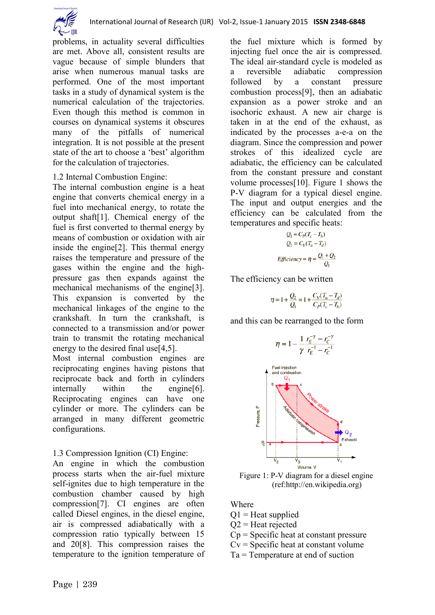

problems, in actuality several difficulties are met. Above all, consistent results are vague because of simple blunders that arise when numerous manual tasks are performed. One of the most important tasks in a study of dynamical system is the numerical calculation of the trajectories. Even though this method is common in courses on dynamical systems it obscures many of the pitfalls of numerical integration. It is not possible at the present state of the art to choose a 'best' algorithm for the calculation of trajectories.

## 1.2 Internal Combustion Engine:

The internal combustion engine is a heat engine that converts chemical energy in a fuel into mechanical energy, to rotate the output shaft[1]. Chemical energy of the fuel is first converted to thermal energy by means of combustion or oxidation with air inside the engine[2]. This thermal energy raises the temperature and pressure of the gases within the engine and the highpressure gas then expands against the mechanical mechanisms of the engine[3]. This expansion is converted by the mechanical linkages of the engine to the crankshaft. In turn the crankshaft, is connected to a transmission and/or power train to transmit the rotating mechanical energy to the desired final use<sup>[4,5]</sup>.

Most internal combustion engines are reciprocating engines having pistons that reciprocate back and forth in cylinders internally within the engine[6]. Reciprocating engines can have one cylinder or more. The cylinders can be arranged in many different geometric configurations.

## 1.3 Compression Ignition (CI) Engine:

An engine in which the combustion process starts when the air-fuel mixture self-ignites due to high temperature in the combustion chamber caused by high compression[7]. CI engines are often called Diesel engines, in the diesel engine, air is compressed [adiabatically](http://hyperphysics.phy-astr.gsu.edu/hbase/thermo/adiab.html#c1) with a compression ratio typically between 15 and 20[8]. This compression raises the temperature to the ignition temperature of the fuel mixture which is formed by injecting fuel once the air is compressed. The ideal air-standard cycle is modeled as a reversible adiabatic compression followed by a [constant pressure](http://hyperphysics.phy-astr.gsu.edu/hbase/thermo/cppro.html#c1) combustion process[9], then an adiabatic expansion as a power stroke and an [isoc](http://hyperphysics.phy-astr.gsu.edu/hbase/thermo/cvpro.html#c1)horic exhaust. A new air charge is taken in at the end of the exhaust, as indicated by the processes a-e-a on the diagram. Since the compression and power strokes of this idealized cycle are adiabatic, the efficiency can be calculated from the constant pressure and constant volume processes[10]. Figure 1 shows the P-V diagram for a typical diesel engine. The input and output energies and the efficiency can be calculated from the temperatures and specific heats:

$$
Q_1 = C_P(T_c - T_b)
$$
  
\n
$$
Q_2 = C_V(T_a - T_d)
$$
  
\nEfficiency = 
$$
\eta = \frac{Q_1 + Q_2}{Q_1}
$$

The efficiency can be written

$$
\eta = 1 + \frac{Q_2}{Q_1} = 1 + \frac{C_V(T_a - T_d)}{C_P(T_c - T_b)}
$$

and this can be rearranged to the form



Figure 1: P-V diagram for a diesel engine (ref:http://en.wikipedia.org)

Where

- $Q1$  = Heat supplied
- $Q2$  = Heat rejected
- $C_p$  = Specific heat at constant pressure
- $Cv =$ Specific heat at constant volume
- Ta = Temperature at end of suction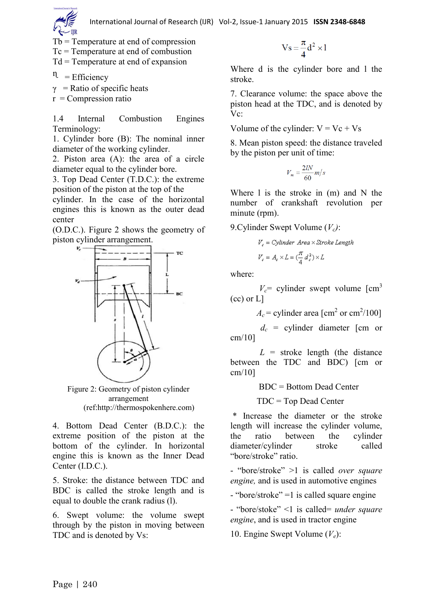Tb = Temperature at end of compression

Tc = Temperature at end of combustion

 $Td = Temperature at end of expansion$ 

 $n =$  Efficiency

 $\gamma$  = Ratio of specific heats

 $r =$ Compression ratio

1.4 Internal Combustion Engines Terminology:

1. Cylinder bore (B): The nominal inner diameter of the working cylinder.

2. Piston area (A): the area of a circle diameter equal to the cylinder bore.

3. Top Dead Center (T.D.C.): the extreme position of the piston at the top of the

cylinder. In the case of the horizontal engines this is known as the outer dead center

(O.D.C.). Figure 2 shows the geometry of piston cylinder arrangement.



Figure 2: Geometry of piston cylinder arrangement (ref:http://thermospokenhere.com)

4. Bottom Dead Center (B.D.C.): the extreme position of the piston at the bottom of the cylinder. In horizontal engine this is known as the Inner Dead Center (I.D.C.).

5. Stroke: the distance between TDC and BDC is called the stroke length and is equal to double the crank radius (l).

6. Swept volume: the volume swept through by the piston in moving between TDC and is denoted by Vs:

$$
Vs = \frac{\pi}{4}d^2 \times l
$$

Where d is the cylinder bore and l the stroke.

7. Clearance volume: the space above the piston head at the TDC, and is denoted by Vc:

Volume of the cylinder:  $V = Vc + Vs$ 

8. Mean piston speed: the distance traveled by the piston per unit of time:

$$
V_m = \frac{2lN}{60}m/s
$$

Where l is the stroke in (m) and N the number of crankshaft revolution per minute (rpm).

9.Cylinder Swept Volume (*Vc)*:

$$
V_c = Cylinder \ Area \times Stroke \ Length
$$
  

$$
V_c = A_c \times L = (\frac{\pi}{4} d_c^2) \times L
$$

where:

 $V_c$ = cylinder swept volume  $\text{Lcm}^3$ (cc) or L]

 $A_c$  = cylinder area [cm<sup>2</sup> or cm<sup>2</sup>/100]

 $d_c$  = cylinder diameter [cm or cm/10]

 $L =$  stroke length (the distance between the TDC and BDC) [cm or cm/10]

BDC = Bottom Dead Center

TDC = Top Dead Center

\* Increase the diameter or the stroke length will increase the cylinder volume, the ratio between the cylinder diameter/cylinder stroke called "bore/stroke" ratio.

- "bore/stroke" >1 is called *over square engine,* and is used in automotive engines

- "bore/stroke" =1 is called square engine

- "bore/stoke" <1 is called= *under square engine*, and is used in tractor engine

10. Engine Swept Volume (*Ve*):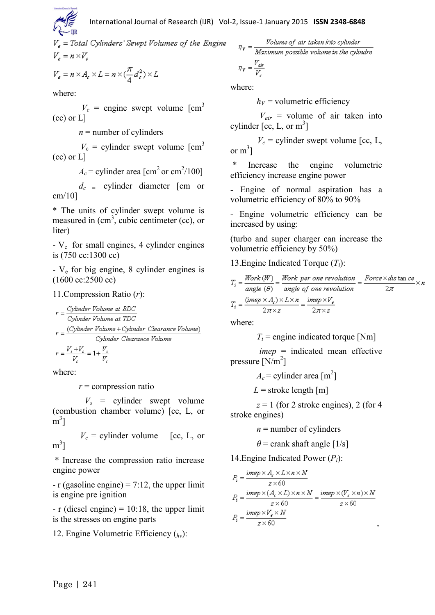International Journal of Research (IJR) Vol-2, Issue-1 January 2015 **ISSN 2348-6848**

 $V_e$  = Total Cylinders' Sewpt Volumes of the Engine  $V_e = n \times V_e$ 

$$
V_e = n \times A_e \times L = n \times (\frac{\pi}{4} d_e^2) \times L
$$

where:

 $V_e$  = engine swept volume  $\text{[cm}^3$ (cc) or L]

 $n =$  number of cylinders

 $V_c$  = cylinder swept volume  $\text{cm}^3$ (cc) or L]

 $A_c$  = cylinder area [cm<sup>2</sup> or cm<sup>2</sup>/100]

 $d_c$  = cylinder diameter [cm or cm/10]

\* The units of cylinder swept volume is measured in  $(cm^3)$ , cubic centimeter (cc), or liter)

- V<sup>e</sup> for small engines, 4 cylinder engines is (750 cc:1300 cc)

- V<sup>e</sup> for big engine, 8 cylinder engines is (1600 cc:2500 cc)

#### 11.Compression Ratio (*r*):

$$
r = \frac{Cylinder Volume at BDC}{Cylinder Volume at TDC}
$$
\n
$$
r = \frac{(Cylinder Volume + Cylinder Clearance Volume)}{Cylinder Clearance Volume}
$$

 $r = \frac{V_s + V_c}{V} = 1 + \frac{V_s}{V_s}$ 

where:

*r* = compression ratio

 $V_s$  = cylinder swept volume (combustion chamber volume) [cc, L, or  $\mathrm{m}^3$ ]

 $V_c$  = cylinder volume [cc, L, or  $m^3$ ]

\* Increase the compression ratio increase engine power

 $- r$  (gasoline engine) = 7:12, the upper limit is engine pre ignition

 $- r$  (diesel engine) = 10:18, the upper limit is the stresses on engine parts

12. Engine Volumetric Efficiency (*hv*):

 $\eta_{\nu} = \frac{Volume\ of\ air\ taken\ into\ cylinder}{Maximum\ possible\ volume\ in\ the\ cylinder}$  $\eta_V = \frac{V_{air}}{V}$ 

where:

 $h_V$  = volumetric efficiency

 $V_{air}$  = volume of air taken into cylinder [cc, L, or  $m^3$ ]

 $V_c$  = cylinder swept volume [cc, L, or  $m^3$ ]

Increase the engine volumetric efficiency increase engine power

- Engine of normal aspiration has a volumetric efficiency of 80% to 90%

- Engine volumetric efficiency can be increased by using:

(turbo and super charger can increase the volumetric efficiency by 50%)

13.Engine Indicated Torque (*Ti*):

$$
T_i = \frac{Work\ (W)}{angle\ (\theta)} = \frac{Work\ per\ one\ revolution}{angle\ of\ one\ revolution} = \frac{Force \times dis\ tan\ ce}{2\pi} \times k
$$

$$
T_i = \frac{(imp \times A_c) \times L \times n}{2\pi \times z} = \frac{imp \times V_e}{2\pi \times z}
$$

where:

 $T_i$  = engine indicated torque [Nm]

 *imep* = indicated mean effective pressure  $\left[\text{N/m}^2\right]$ 

 $A_c$  = cylinder area [m<sup>2</sup>]

 $L =$ stroke length [m]

 $z = 1$  (for 2 stroke engines), 2 (for 4) stroke engines)

 $n =$  number of cylinders

 $\theta$  = crank shaft angle [1/s]

14.Engine Indicated Power (*Pi*):

$$
P_i = \frac{imep \times A_c \times L \times n \times N}{z \times 60}
$$
  
\n
$$
P_i = \frac{imep \times (A_c \times L) \times n \times N}{z \times 60} = \frac{imep \times (V_c \times n) \times N}{z \times 60}
$$
  
\n
$$
P_i = \frac{imep \times V_c \times N}{z \times 60}
$$

,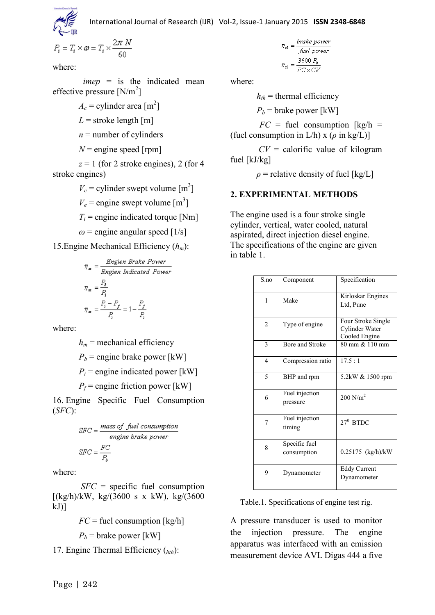International Journal of Research (IJR) Vol-2, Issue-1 January 2015 **ISSN 2348-6848**

$$
P_i = T_i \times \omega = T_i \times \frac{2\pi N}{60}
$$

where:

 *imep* = is the indicated mean effective pressure  $[N/m^2]$ 

 $A_c$  = cylinder area [m<sup>2</sup>]

 $L =$ stroke length [m]

 $n =$  number of cylinders

 $N$  = engine speed [rpm]

 $z = 1$  (for 2 stroke engines), 2 (for 4) stroke engines)

 $V_c$  = cylinder swept volume  $[m^3]$ 

 $V_e$  = engine swept volume  $\text{[m}^3\text{]}$ 

 $T_i$  = engine indicated torque [Nm]

 $\omega$  = engine angular speed [1/s]

15.Engine Mechanical Efficiency (*hm*):

$$
\eta_{\mathbf{m}} = \frac{Engineering\;Brake\;Power}{Engien\;Indicated\;Power}
$$
\n
$$
\eta_{\mathbf{m}} = \frac{P_{\delta}}{P_{i}}
$$
\n
$$
\eta_{\mathbf{m}} = \frac{P_{i} - P_{f}}{P_{i}}
$$
\n
$$
= \frac{P_{i} - P_{f}}{P_{i}}
$$

where:

 $h_m$  = mechanical efficiency  $P_b$  = engine brake power [kW]  $P_i$  = engine indicated power [kW]  $P_f$  = engine friction power [kW]

16. Engine Specific Fuel Consumption (*SFC*):

$$
SFC = \frac{mass\ of\ fuel\ consumption}{engine\ brake\ power}
$$

$$
SFC = \frac{FC}{P_a}
$$

where:

 *SFC* = specific fuel consumption  $[(kg/h)/kW, kg/(3600 s x kW), kg/(3600$  $kJ$ ]

 $FC$  = fuel consumption  $\lfloor \frac{kg}{h} \rfloor$ 

 $P_b$  = brake power [kW]

17. Engine Thermal Efficiency (*hth*):

$$
\eta_{th} = \frac{brake power}{fuel power}
$$

$$
\eta_{th} = \frac{3600 P_b}{FC \times CV}
$$

where:

 $h_{th}$  = thermal efficiency

 $P_b$  = brake power [kW]

 $FC = fuel consumption [kg/h] =$ (fuel consumption in  $L/h$ ) x ( $\rho$  in kg/L)]

 $CV =$  calorific value of kilogram fuel [kJ/kg]

 $\rho$  = relative density of fuel [kg/L]

## **2. EXPERIMENTAL METHODS**

The engine used is a four stroke single cylinder, vertical, water cooled, natural aspirated, direct injection diesel engine. The specifications of the engine are given in table 1.

| S <sub>n</sub> | Component                    | Specification                                         |
|----------------|------------------------------|-------------------------------------------------------|
| $\mathbf{1}$   | Make                         | Kirloskar Engines<br>Ltd, Pune                        |
| $\overline{2}$ | Type of engine               | Four Stroke Single<br>Cylinder Water<br>Cooled Engine |
| 3              | Bore and Stroke              | 80 mm & 110 mm                                        |
| $\overline{4}$ | Compression ratio            | 17.5:1                                                |
| 5              | BHP and rpm                  | 5.2kW & 1500 rpm                                      |
| 6              | Fuel injection<br>pressure   | $200 \text{ N/m}^2$                                   |
| 7              | Fuel injection<br>timing     | $27^0$ BTDC                                           |
| 8              | Specific fuel<br>consumption | 0.25175 (kg/h)/kW                                     |
| 9              | Dynamometer                  | <b>Eddy Current</b><br>Dynamometer                    |

Table.1. Specifications of engine test rig.

A pressure transducer is used to monitor the injection pressure. The engine apparatus was interfaced with an emission measurement device AVL Digas 444 a five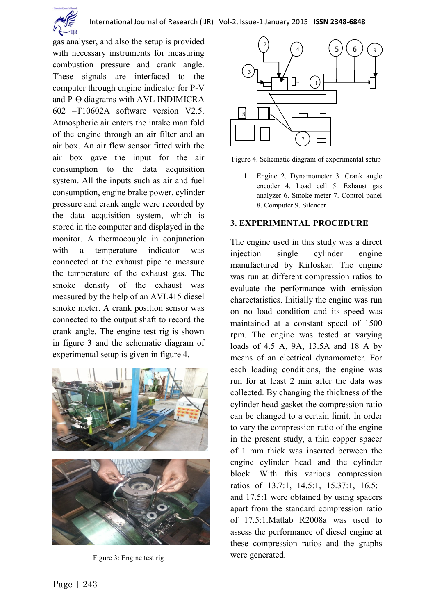

gas analyser, and also the setup is provided with necessary instruments for measuring combustion pressure and crank angle. These signals are interfaced to the computer through engine indicator for P-V and  $P-\Theta$  diagrams with AVL INDIMICRA 602 –T10602A software version V2.5. Atmospheric air enters the intake manifold of the engine through an air filter and an air box. An air flow sensor fitted with the air box gave the input for the air consumption to the data acquisition system. All the inputs such as air and fuel consumption, engine brake power, cylinder pressure and crank angle were recorded by the data acquisition system, which is stored in the computer and displayed in the monitor. A thermocouple in conjunction with a temperature indicator was connected at the exhaust pipe to measure the temperature of the exhaust gas. The smoke density of the exhaust was measured by the help of an AVL415 diesel smoke meter. A crank position sensor was connected to the output shaft to record the crank angle. The engine test rig is shown in figure 3 and the schematic diagram of experimental setup is given in figure 4.



Figure 3: Engine test rig



Figure 4. Schematic diagram of experimental setup

1. Engine 2. Dynamometer 3. Crank angle encoder 4. Load cell 5. Exhaust gas analyzer 6. Smoke meter 7. Control panel 8. Computer 9. Silencer

#### **3. EXPERIMENTAL PROCEDURE**

The engine used in this study was a direct injection single cylinder engine manufactured by Kirloskar. The engine was run at different compression ratios to evaluate the performance with emission charectaristics. Initially the engine was run on no load condition and its speed was maintained at a constant speed of 1500 rpm. The engine was tested at varying loads of 4.5 A, 9A, 13.5A and 18 A by means of an electrical dynamometer. For each loading conditions, the engine was run for at least 2 min after the data was collected. By changing the thickness of the cylinder head gasket the compression ratio can be changed to a certain limit. In order to vary the compression ratio of the engine in the present study, a thin copper spacer of 1 mm thick was inserted between the engine cylinder head and the cylinder block. With this various compression ratios of 13.7:1, 14.5:1, 15.37:1, 16.5:1 and 17.5:1 were obtained by using spacers apart from the standard compression ratio of 17.5:1.Matlab R2008a was used to assess the performance of diesel engine at these compression ratios and the graphs were generated.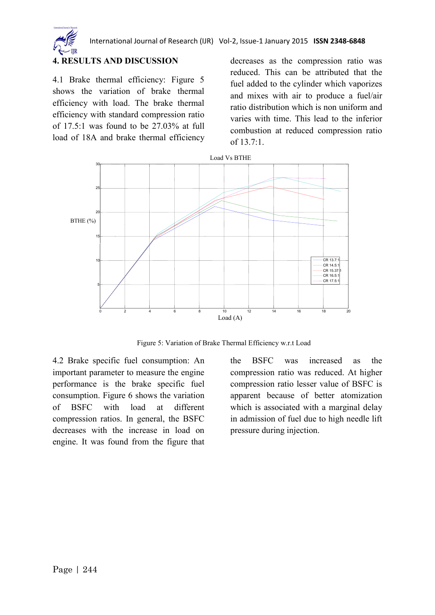

## **4. RESULTS AND DISCUSSION**

4.1 Brake thermal efficiency: Figure 5 shows the variation of brake thermal efficiency with load. The brake thermal efficiency with standard compression ratio of 17.5:1 was found to be 27.03% at full load of 18A and brake thermal efficiency decreases as the compression ratio was reduced. This can be attributed that the fuel added to the cylinder which vaporizes and mixes with air to produce a fuel/air ratio distribution which is non uniform and varies with time. This lead to the inferior combustion at reduced compression ratio of  $13.7:1$ .



Figure 5: Variation of Brake Thermal Efficiency w.r.t Load

4.2 Brake specific fuel consumption: An important parameter to measure the engine performance is the brake specific fuel consumption. Figure 6 shows the variation of BSFC with load at different compression ratios. In general, the BSFC decreases with the increase in load on engine. It was found from the figure that

the BSFC was increased as the compression ratio was reduced. At higher compression ratio lesser value of BSFC is apparent because of better atomization which is associated with a marginal delay in admission of fuel due to high needle lift pressure during injection.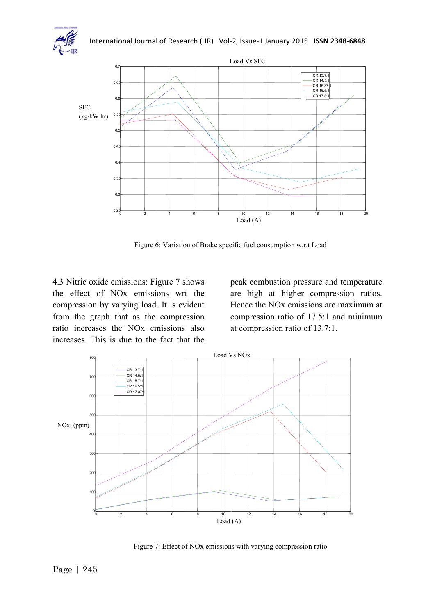



Figure 6: Variation of Brake specific fuel consumption w.r.t Load

4.3 Nitric oxide emissions: Figure 7 shows the effect of NOx emissions wrt the compression by varying load. It is evident from the graph that as the compression ratio increases the NOx emissions also increases. This is due to the fact that the

peak combustion pressure and temperature are high at higher compression ratios. Hence the NOx emissions are maximum at compression ratio of 17.5:1 and minimum at compression ratio of 13.7:1.



Figure 7: Effect of NOx emissions with varying compression ratio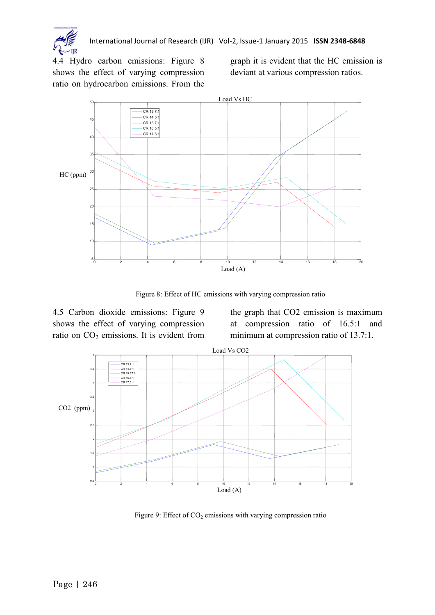

International Journal of Research (IJR) Vol-2, Issue-1 January 2015 **ISSN 2348-6848**

4.4 Hydro carbon emissions: Figure 8 shows the effect of varying compression ratio on hydrocarbon emissions. From the graph it is evident that the HC emission is deviant at various compression ratios.



Figure 8: Effect of HC emissions with varying compression ratio

4.5 Carbon dioxide emissions: Figure 9 shows the effect of varying compression ratio on  $CO<sub>2</sub>$  emissions. It is evident from the graph that CO2 emission is maximum at compression ratio of 16.5:1 and minimum at compression ratio of 13.7:1.



Figure 9: Effect of  $CO<sub>2</sub>$  emissions with varying compression ratio